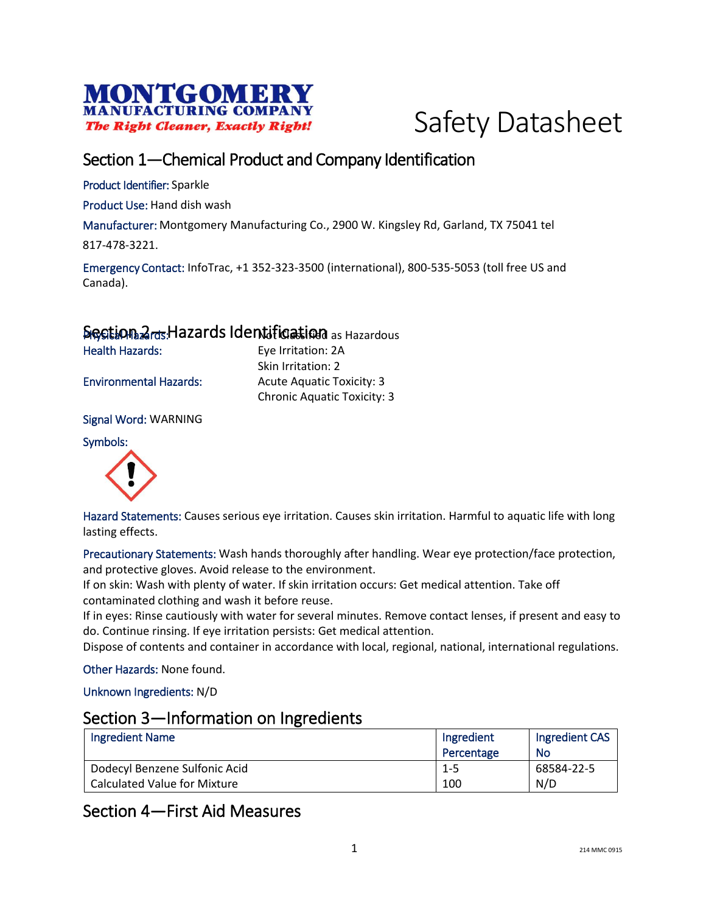



# Section 1—Chemical Product and Company Identification

Product Identifier: Sparkle

Product Use: Hand dish wash

Manufacturer: Montgomery Manufacturing Co., 2900 W. Kingsley Rd, Garland, TX 75041 tel

817-478-3221.

Emergency Contact: InfoTrac, +1 352-323-3500 (international), 800-535-5053 (toll free US and Canada).

# Section 2<sub>rds</sub> Hazards Identification as Hazardous

Health Hazards: Eye Irritation: 2A

Skin Irritation: 2 Environmental Hazards: Acute Aquatic Toxicity: 3 Chronic Aquatic Toxicity: 3

Signal Word: WARNING

#### Symbols:



Hazard Statements: Causes serious eye irritation. Causes skin irritation. Harmful to aquatic life with long lasting effects.

Precautionary Statements: Wash hands thoroughly after handling. Wear eye protection/face protection, and protective gloves. Avoid release to the environment.

If on skin: Wash with plenty of water. If skin irritation occurs: Get medical attention. Take off contaminated clothing and wash it before reuse.

If in eyes: Rinse cautiously with water for several minutes. Remove contact lenses, if present and easy to do. Continue rinsing. If eye irritation persists: Get medical attention.

Dispose of contents and container in accordance with local, regional, national, international regulations.

Other Hazards: None found.

Unknown Ingredients: N/D

### Section 3—Information on Ingredients

| <b>Ingredient Name</b>        | Ingredient | Ingredient CAS |
|-------------------------------|------------|----------------|
|                               | Percentage | No             |
| Dodecyl Benzene Sulfonic Acid | -1-5       | 68584-22-5     |
| Calculated Value for Mixture  | 100        | N/D            |

# Section 4—First Aid Measures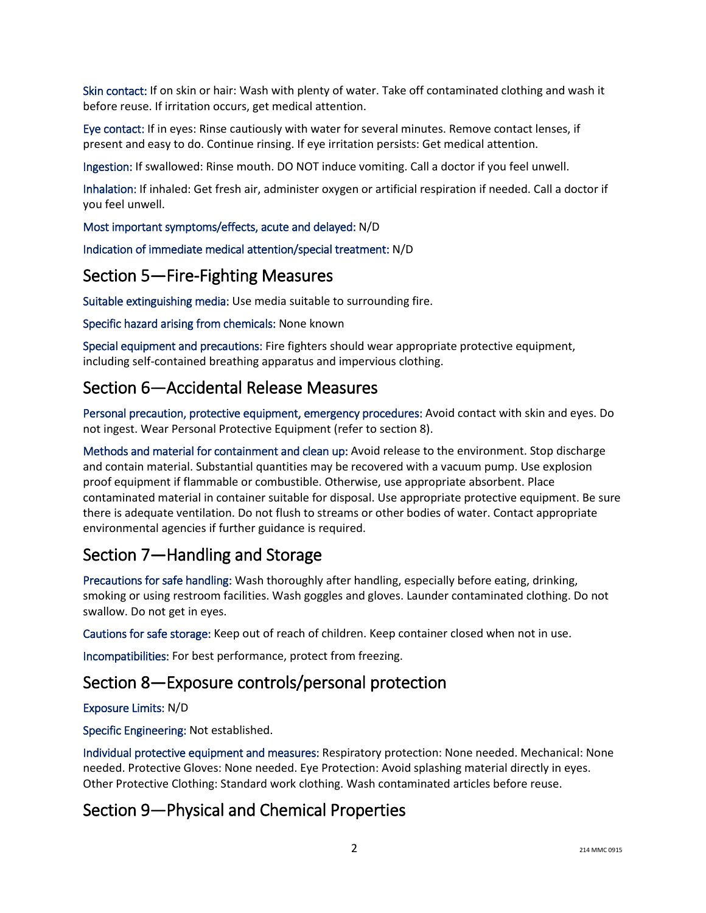Skin contact: If on skin or hair: Wash with plenty of water. Take off contaminated clothing and wash it before reuse. If irritation occurs, get medical attention.

Eye contact: If in eyes: Rinse cautiously with water for several minutes. Remove contact lenses, if present and easy to do. Continue rinsing. If eye irritation persists: Get medical attention.

Ingestion: If swallowed: Rinse mouth. DO NOT induce vomiting. Call a doctor if you feel unwell.

Inhalation: If inhaled: Get fresh air, administer oxygen or artificial respiration if needed. Call a doctor if you feel unwell.

Most important symptoms/effects, acute and delayed: N/D

Indication of immediate medical attention/special treatment: N/D

# Section 5—Fire-Fighting Measures

Suitable extinguishing media: Use media suitable to surrounding fire.

Specific hazard arising from chemicals: None known

Special equipment and precautions: Fire fighters should wear appropriate protective equipment, including self-contained breathing apparatus and impervious clothing.

# Section 6—Accidental Release Measures

Personal precaution, protective equipment, emergency procedures: Avoid contact with skin and eyes. Do not ingest. Wear Personal Protective Equipment (refer to section 8).

Methods and material for containment and clean up: Avoid release to the environment. Stop discharge and contain material. Substantial quantities may be recovered with a vacuum pump. Use explosion proof equipment if flammable or combustible. Otherwise, use appropriate absorbent. Place contaminated material in container suitable for disposal. Use appropriate protective equipment. Be sure there is adequate ventilation. Do not flush to streams or other bodies of water. Contact appropriate environmental agencies if further guidance is required.

# Section 7—Handling and Storage

Precautions for safe handling: Wash thoroughly after handling, especially before eating, drinking, smoking or using restroom facilities. Wash goggles and gloves. Launder contaminated clothing. Do not swallow. Do not get in eyes.

Cautions for safe storage: Keep out of reach of children. Keep container closed when not in use.

Incompatibilities: For best performance, protect from freezing.

# Section 8—Exposure controls/personal protection

Exposure Limits: N/D

Specific Engineering: Not established.

Individual protective equipment and measures: Respiratory protection: None needed. Mechanical: None needed. Protective Gloves: None needed. Eye Protection: Avoid splashing material directly in eyes. Other Protective Clothing: Standard work clothing. Wash contaminated articles before reuse.

# Section 9—Physical and Chemical Properties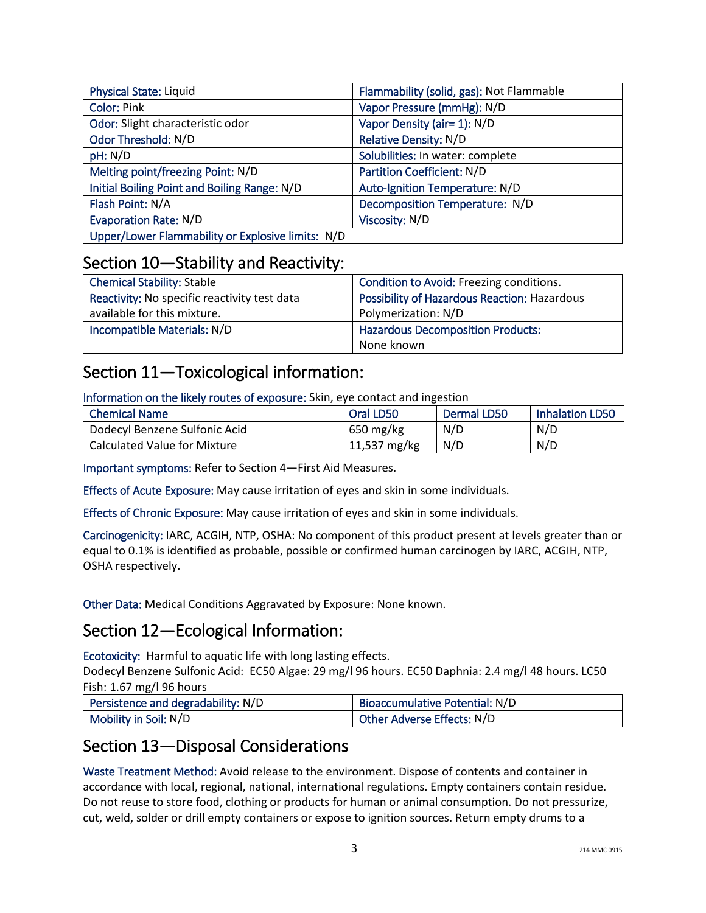| <b>Physical State: Liquid</b>                     | Flammability (solid, gas): Not Flammable |
|---------------------------------------------------|------------------------------------------|
| <b>Color: Pink</b>                                | Vapor Pressure (mmHg): N/D               |
| Odor: Slight characteristic odor                  | Vapor Density (air= 1): N/D              |
| Odor Threshold: N/D                               | <b>Relative Density: N/D</b>             |
| pH: N/D                                           | Solubilities: In water: complete         |
| Melting point/freezing Point: N/D                 | <b>Partition Coefficient: N/D</b>        |
| Initial Boiling Point and Boiling Range: N/D      | Auto-Ignition Temperature: N/D           |
| Flash Point: N/A                                  | Decomposition Temperature: N/D           |
| <b>Evaporation Rate: N/D</b>                      | Viscosity: N/D                           |
| Upper/Lower Flammability or Explosive limits: N/D |                                          |

### Section 10—Stability and Reactivity:

| <b>Chemical Stability: Stable</b>            | Condition to Avoid: Freezing conditions.     |
|----------------------------------------------|----------------------------------------------|
| Reactivity: No specific reactivity test data | Possibility of Hazardous Reaction: Hazardous |
| available for this mixture.                  | Polymerization: N/D                          |
| Incompatible Materials: N/D                  | <b>Hazardous Decomposition Products:</b>     |
|                                              | None known                                   |

# Section 11—Toxicological information:

Information on the likely routes of exposure: Skin, eye contact and ingestion

| <b>Chemical Name</b>                | Oral LD50    | Dermal LD50 | <b>Inhalation LD50</b> |
|-------------------------------------|--------------|-------------|------------------------|
| Dodecyl Benzene Sulfonic Acid       | 650 mg/kg    | N/D         | N/D                    |
| <b>Calculated Value for Mixture</b> | 11,537 mg/kg | N/D         | N/D                    |

Important symptoms: Refer to Section 4—First Aid Measures.

Effects of Acute Exposure: May cause irritation of eyes and skin in some individuals.

Effects of Chronic Exposure: May cause irritation of eyes and skin in some individuals.

Carcinogenicity: IARC, ACGIH, NTP, OSHA: No component of this product present at levels greater than or equal to 0.1% is identified as probable, possible or confirmed human carcinogen by IARC, ACGIH, NTP, OSHA respectively.

Other Data: Medical Conditions Aggravated by Exposure: None known.

# Section 12—Ecological Information:

Ecotoxicity: Harmful to aquatic life with long lasting effects.

Dodecyl Benzene Sulfonic Acid: EC50 Algae: 29 mg/l 96 hours. EC50 Daphnia: 2.4 mg/l 48 hours. LC50 Fish: 1.67 mg/l 96 hours

| Persistence and degradability: N/D | Bioaccumulative Potential: N/D |
|------------------------------------|--------------------------------|
| Mobility in Soil: N/D              | Other Adverse Effects: N/D     |

# Section 13—Disposal Considerations

Waste Treatment Method: Avoid release to the environment. Dispose of contents and container in accordance with local, regional, national, international regulations. Empty containers contain residue. Do not reuse to store food, clothing or products for human or animal consumption. Do not pressurize, cut, weld, solder or drill empty containers or expose to ignition sources. Return empty drums to a